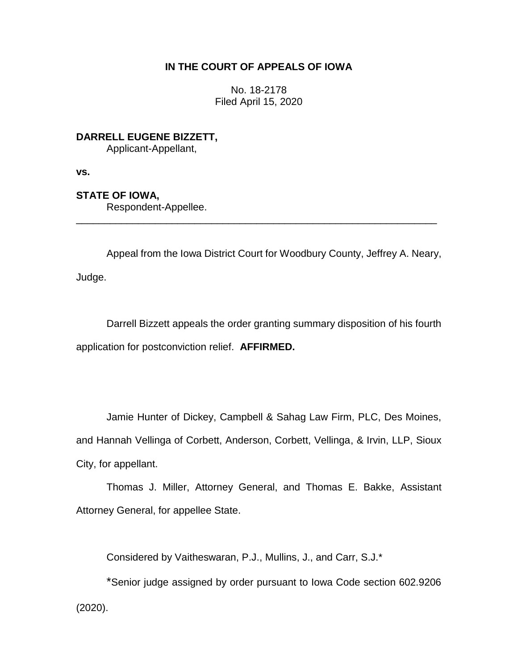## **IN THE COURT OF APPEALS OF IOWA**

No. 18-2178 Filed April 15, 2020

**DARRELL EUGENE BIZZETT,** Applicant-Appellant,

**vs.**

**STATE OF IOWA,**

Respondent-Appellee.

Appeal from the Iowa District Court for Woodbury County, Jeffrey A. Neary, Judge.

\_\_\_\_\_\_\_\_\_\_\_\_\_\_\_\_\_\_\_\_\_\_\_\_\_\_\_\_\_\_\_\_\_\_\_\_\_\_\_\_\_\_\_\_\_\_\_\_\_\_\_\_\_\_\_\_\_\_\_\_\_\_\_\_

Darrell Bizzett appeals the order granting summary disposition of his fourth application for postconviction relief. **AFFIRMED.**

Jamie Hunter of Dickey, Campbell & Sahag Law Firm, PLC, Des Moines, and Hannah Vellinga of Corbett, Anderson, Corbett, Vellinga, & Irvin, LLP, Sioux City, for appellant.

Thomas J. Miller, Attorney General, and Thomas E. Bakke, Assistant Attorney General, for appellee State.

Considered by Vaitheswaran, P.J., Mullins, J., and Carr, S.J.\*

\*Senior judge assigned by order pursuant to Iowa Code section 602.9206 (2020).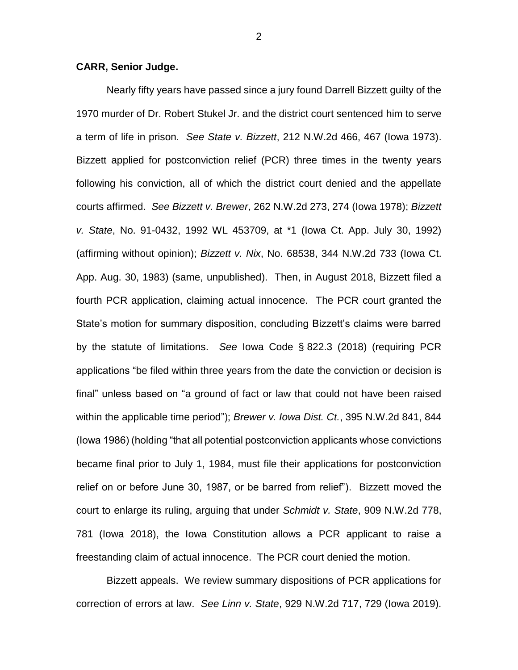## **CARR, Senior Judge.**

Nearly fifty years have passed since a jury found Darrell Bizzett guilty of the 1970 murder of Dr. Robert Stukel Jr. and the district court sentenced him to serve a term of life in prison. *See State v. Bizzett*, 212 N.W.2d 466, 467 (Iowa 1973). Bizzett applied for postconviction relief (PCR) three times in the twenty years following his conviction, all of which the district court denied and the appellate courts affirmed. *See Bizzett v. Brewer*, 262 N.W.2d 273, 274 (Iowa 1978); *Bizzett v. State*, No. 91-0432, 1992 WL 453709, at \*1 (Iowa Ct. App. July 30, 1992) (affirming without opinion); *Bizzett v. Nix*, No. 68538, 344 N.W.2d 733 (Iowa Ct. App. Aug. 30, 1983) (same, unpublished). Then, in August 2018, Bizzett filed a fourth PCR application, claiming actual innocence. The PCR court granted the State's motion for summary disposition, concluding Bizzett's claims were barred by the statute of limitations. *See* Iowa Code § 822.3 (2018) (requiring PCR applications "be filed within three years from the date the conviction or decision is final" unless based on "a ground of fact or law that could not have been raised within the applicable time period"); *Brewer v. Iowa Dist. Ct.*, 395 N.W.2d 841, 844 (Iowa 1986) (holding "that all potential postconviction applicants whose convictions became final prior to July 1, 1984, must file their applications for postconviction relief on or before June 30, 1987, or be barred from relief"). Bizzett moved the court to enlarge its ruling, arguing that under *Schmidt v. State*, 909 N.W.2d 778, 781 (Iowa 2018), the Iowa Constitution allows a PCR applicant to raise a freestanding claim of actual innocence. The PCR court denied the motion.

Bizzett appeals. We review summary dispositions of PCR applications for correction of errors at law. *See Linn v. State*, 929 N.W.2d 717, 729 (Iowa 2019).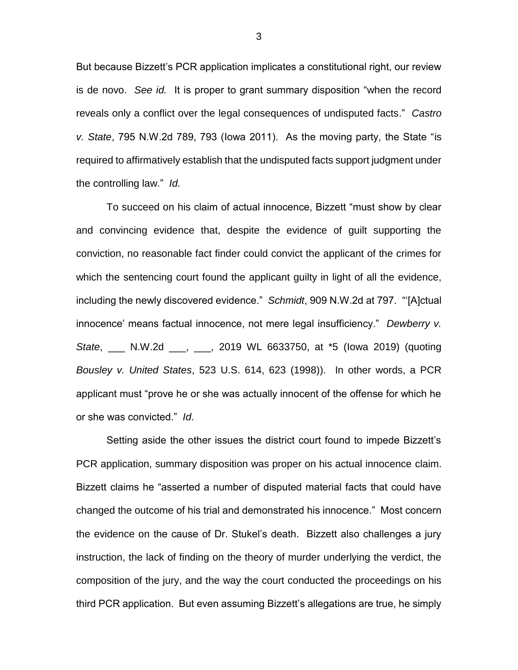But because Bizzett's PCR application implicates a constitutional right, our review is de novo. *See id.* It is proper to grant summary disposition "when the record reveals only a conflict over the legal consequences of undisputed facts." *Castro v. State*, 795 N.W.2d 789, 793 (Iowa 2011). As the moving party, the State "is required to affirmatively establish that the undisputed facts support judgment under the controlling law." *Id.*

To succeed on his claim of actual innocence, Bizzett "must show by clear and convincing evidence that, despite the evidence of guilt supporting the conviction, no reasonable fact finder could convict the applicant of the crimes for which the sentencing court found the applicant guilty in light of all the evidence, including the newly discovered evidence." *Schmidt*, 909 N.W.2d at 797. "'[A]ctual innocence' means factual innocence, not mere legal insufficiency." *Dewberry v. State*, \_\_\_ N.W.2d \_\_\_, \_\_\_, 2019 WL 6633750, at \*5 (Iowa 2019) (quoting *Bousley v. United States*, 523 U.S. 614, 623 (1998)). In other words, a PCR applicant must "prove he or she was actually innocent of the offense for which he or she was convicted." *Id*.

Setting aside the other issues the district court found to impede Bizzett's PCR application, summary disposition was proper on his actual innocence claim. Bizzett claims he "asserted a number of disputed material facts that could have changed the outcome of his trial and demonstrated his innocence." Most concern the evidence on the cause of Dr. Stukel's death. Bizzett also challenges a jury instruction, the lack of finding on the theory of murder underlying the verdict, the composition of the jury, and the way the court conducted the proceedings on his third PCR application. But even assuming Bizzett's allegations are true, he simply